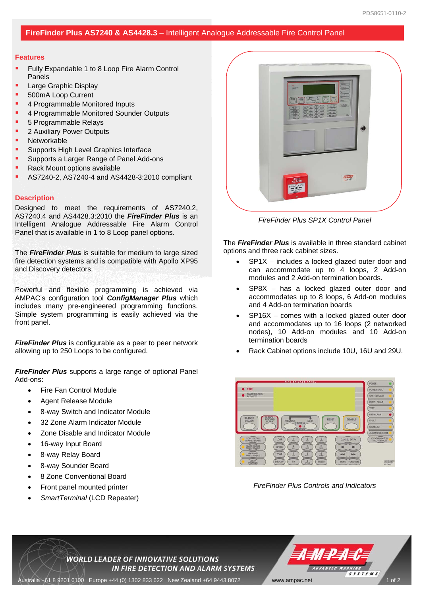## **FireFinder Plus AS7240 & AS4428.3** – Intelligent Analogue Addressable Fire Control Panel

## **Features**

- Fully Expandable 1 to 8 Loop Fire Alarm Control Panels
- Large Graphic Display
- 500mA Loop Current
- 4 Programmable Monitored Inputs
- 4 Programmable Monitored Sounder Outputs
- 5 Programmable Relays
- 2 Auxiliary Power Outputs
- Networkable
- Supports High Level Graphics Interface
- Supports a Larger Range of Panel Add-ons
- Rack Mount options available
- AS7240-2, AS7240-4 and AS4428-3:2010 compliant

## **Description**

Designed to meet the requirements of AS7240.2, AS7240.4 and AS4428.3:2010 the *FireFinder Plus* is an Intelligent Analogue Addressable Fire Alarm Control Panel that is available in 1 to 8 Loop panel options.

The *FireFinder Plus* is suitable for medium to large sized fire detection systems and is compatible with Apollo XP95 and Discovery detectors.

Powerful and flexible programming is achieved via AMPAC's configuration tool *ConfigManager Plus* which includes many pre-engineered programming functions. Simple system programming is easily achieved via the front panel.

*FireFinder Plus* is configurable as a peer to peer network allowing up to 250 Loops to be configured.

*FireFinder Plus* supports a large range of optional Panel Add-ons:

- Fire Fan Control Module
- Agent Release Module
- 8-way Switch and Indicator Module
- 32 Zone Alarm Indicator Module
- Zone Disable and Indicator Module
- 16-way Input Board
- 8-way Relay Board
- 8-way Sounder Board
- 8 Zone Conventional Board
- Front panel mounted printer
- *SmartTerminal* (LCD Repeater)



*FireFinder Plus SP1X Control Panel* 

The *FireFinder Plus* is available in three standard cabinet options and three rack cabinet sizes.

- SP1X includes a locked glazed outer door and can accommodate up to 4 loops, 2 Add-on modules and 2 Add-on termination boards.
- SP8X has a locked glazed outer door and accommodates up to 8 loops, 6 Add-on modules and 4 Add-on termination boards
- SP16X comes with a locked glazed outer door and accommodates up to 16 loops (2 networked nodes), 10 Add-on modules and 10 Add-on termination boards
- Rack Cabinet options include 10U, 16U and 29U.



*FireFinder Plus Controls and Indicators*

ADVANCED WARNING

**SYSTEMS** 

**WORLD LEADER OF INNOVATIVE SOLUTIONS** IN FIRE DETECTION AND ALARM SYSTEMS